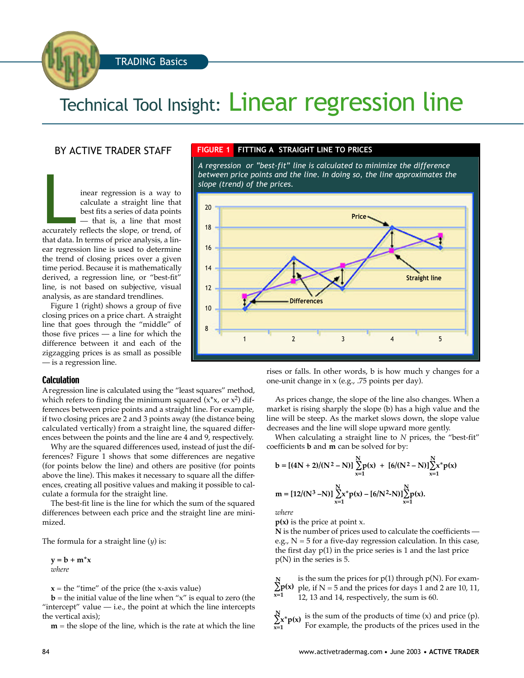TRADING Basics

# Technical Tool Insight: Linear regression line

## BY ACTIVE TRADER STAFF

inear regression is a way to<br>calculate a straight line that<br>best fits a series of data points<br>— that is, a line that most<br>accurately reflects the slope, or trend, of inear regression is a way to calculate a straight line that best fits a series of data points — that is, a line that most that data. In terms of price analysis, a linear regression line is used to determine the trend of closing prices over a given time period. Because it is mathematically derived, a regression line, or "best-fit" line, is not based on subjective, visual analysis, as are standard trendlines.

Figure 1 (right) shows a group of five closing prices on a price chart. A straight line that goes through the "middle" of those five prices — a line for which the difference between it and each of the zigzagging prices is as small as possible — is a regression line.

#### **Calculation**

Aregression line is calculated using the "least squares" method, which refers to finding the minimum squared  $(x*x, or x^2)$  differences between price points and a straight line. For example, if two closing prices are 2 and 3 points away (the distance being calculated vertically) from a straight line, the squared differences between the points and the line are 4 and 9, respectively.

Why are the squared differences used, instead of just the differences? Figure 1 shows that some differences are negative (for points below the line) and others are positive (for points above the line). This makes it necessary to square all the differences, creating all positive values and making it possible to calculate a formula for the straight line.

The best-fit line is the line for which the sum of the squared differences between each price and the straight line are minimized.

The formula for a straight line (*y*) is:

 $y = b + m^*x$ *where*

 $x =$  the "time" of the price (the x-axis value)

 **= the initial value of the line when "** $x$ **" is equal to zero (the** "intercept" value  $-$  i.e., the point at which the line intercepts the vertical axis);

 $m =$  the slope of the line, which is the rate at which the line

#### **FIGURE 1 FITTING A STRAIGHT LINE TO PRICES**

*A regression or "best-fit" line is calculated to minimize the difference between price points and the line. In doing so, the line approximates the slope (trend) of the prices.*



rises or falls. In other words, b is how much y changes for a one-unit change in x (e.g., .75 points per day).

As prices change, the slope of the line also changes. When a market is rising sharply the slope (b) has a high value and the line will be steep. As the market slows down, the slope value decreases and the line will slope upward more gently.

When calculating a straight line to *N* prices, the "best-fit" coefficients **b** and **m** can be solved for by:

$$
b = [(4N + 2)/(N^{2} - N)] \sum_{x=1}^{N} p(x) + [6/(N^{2} - N)] \sum_{x=1}^{N} x^{*} p(x)
$$
  

$$
m = [12/(N^{3} - N)] \sum_{x=1}^{N} x^{*} p(x) - [6/N^{2} - N] \sum_{x=1}^{N} p(x).
$$

*where*

**p(x)** is the price at point x.

**N** is the number of prices used to calculate the coefficients e.g.,  $N = 5$  for a five-day regression calculation. In this case, the first day p(1) in the price series is 1 and the last price p(N) in the series is 5.

is the sum the prices for  $p(1)$  through  $p(N)$ . For example, if N = 5 and the prices for days 1 and 2 are 10, 11, 12, 13 and 14, respectively, the sum is 60. **N p(x) x=1**

is the sum of the products of time (x) and price (p). For example, the products of the prices used in the **N x\*p(x) x=1**